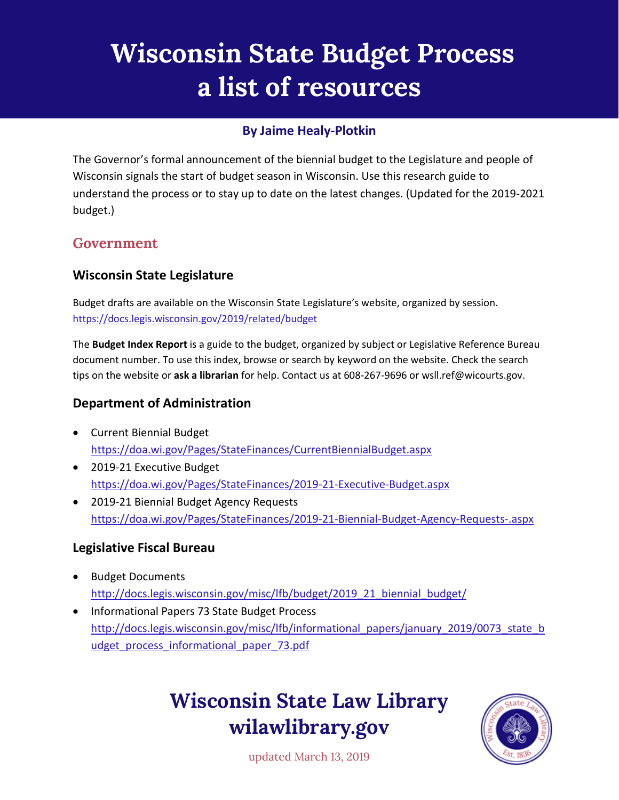# **Wisconsin State Budget Process a list of resources**

## **By Jaime Healy-Plotkin**

The Governor's formal announcement of the biennial budget to the Legislature and people of Wisconsin signals the start of budget season in Wisconsin. Use this research guide to understand the process or to stay up to date on the latest changes. (Updated for the 2019-2021 budget.)

# **Government**

### **Wisconsin State Legislature**

Budget drafts are available on the Wisconsin State Legislature's website, organized by session. <https://docs.legis.wisconsin.gov/2019/related/budget>

The **Budget Index Report** is a guide to the budget, organized by subject or Legislative Reference Bureau document number. To use this index, browse or search by keyword on the website. Check the search tips on the website or **ask a librarian** for help. Contact us at 608-267-9696 or wsll.ref@wicourts.gov.

### **Department of Administration**

- Current Biennial Budget <https://doa.wi.gov/Pages/StateFinances/CurrentBiennialBudget.aspx>
- 2019-21 Executive Budget <https://doa.wi.gov/Pages/StateFinances/2019-21-Executive-Budget.aspx>
- 2019-21 Biennial Budget Agency Requests <https://doa.wi.gov/Pages/StateFinances/2019-21-Biennial-Budget-Agency-Requests-.aspx>

#### **Legislative Fiscal Bureau**

- Budget Documents [http://docs.legis.wisconsin.gov/misc/lfb/budget/2019\\_21\\_biennial\\_budget/](http://docs.legis.wisconsin.gov/misc/lfb/budget/2019_21_biennial_budget/)
- Informational Papers 73 State Budget Process [http://docs.legis.wisconsin.gov/misc/lfb/informational\\_papers/january\\_2019/0073\\_state\\_b](http://docs.legis.wisconsin.gov/misc/lfb/informational_papers/january_2019/0073_state_budget_process_informational_paper_73.pdf) udget process informational paper 73.pdf

# **Wisconsin State Law Library wilawlibrary.gov**



updated March 13, 2019